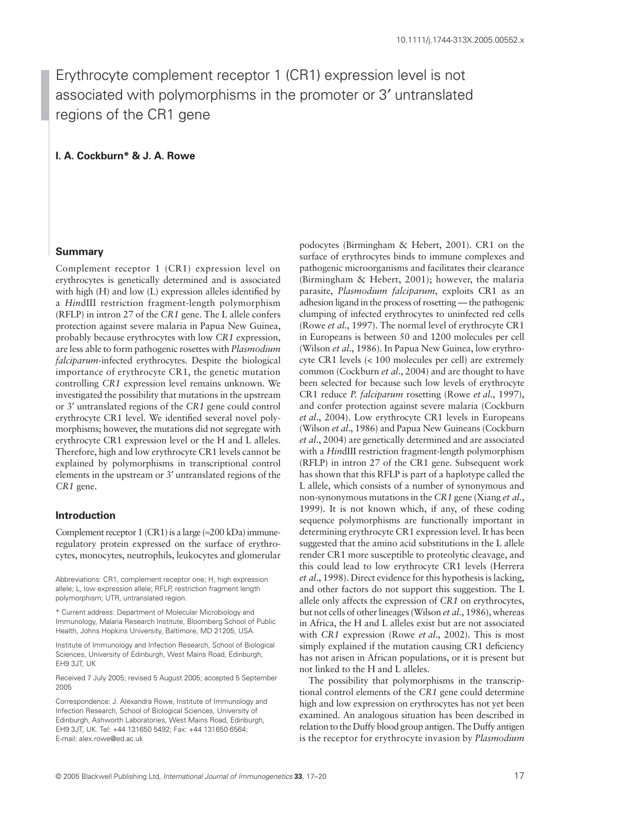# Erythrocyte complement receptor 1 (CR1) expression level is not associated with polymorphisms in the promoter or 3′ untranslated regions of the CR1 gene

**I. A. Cockburn\* & J. A. Rowe**

## **Summary**

Complement receptor 1 (CR1) expression level on erythrocytes is genetically determined and is associated with high (H) and low (L) expression alleles identified by a *Hin*dIII restriction fragment-length polymorphism (RFLP) in intron 27 of the *CR1* gene. The L allele confers protection against severe malaria in Papua New Guinea, probably because erythrocytes with low *CR1* expression, are less able to form pathogenic rosettes with *Plasmodium falciparum*-infected erythrocytes. Despite the biological importance of erythrocyte CR1, the genetic mutation controlling *CR1* expression level remains unknown. We investigated the possibility that mutations in the upstream or 3′ untranslated regions of the *CR1* gene could control erythrocyte CR1 level. We identified several novel polymorphisms; however, the mutations did not segregate with erythrocyte CR1 expression level or the H and L alleles. Therefore, high and low erythrocyte CR1 levels cannot be explained by polymorphisms in transcriptional control elements in the upstream or 3′ untranslated regions of the *CR1* gene.

## **Introduction**

Complement receptor 1 (CR1) is a large ( $\approx$ 200 kDa) immuneregulatory protein expressed on the surface of erythrocytes, monocytes, neutrophils, leukocytes and glomerular

Abbreviations: CR1, complement receptor one; H, high expression allele; L, low expression allele; RFLP, restriction fragment length polymorphism; UTR, untranslated region.

\* Current address: Department of Molecular Microbiology and Immunology, Malaria Research Institute, Bloomberg School of Public Health, Johns Hopkins University, Baltimore, MD 21205, USA.

Institute of Immunology and Infection Research, School of Biological Sciences, University of Edinburgh, West Mains Road, Edinburgh, EH9 3JT, UK

Received 7 July 2005; revised 5 August 2005; accepted 5 September 2005

Correspondence: J. Alexandra Rowe, Institute of Immunology and Infection Research, School of Biological Sciences, University of Edinburgh, Ashworth Laboratories, West Mains Road, Edinburgh, EH9 3JT, UK. Tel: +44 131650 5492; Fax: +44 131650 6564; E-mail: alex.rowe@ed.ac.uk

podocytes (Birmingham & Hebert, 2001). CR1 on the surface of erythrocytes binds to immune complexes and pathogenic microorganisms and facilitates their clearance (Birmingham & Hebert, 2001); however, the malaria parasite, *Plasmodium falciparum*, exploits CR1 as an adhesion ligand in the process of rosetting — the pathogenic clumping of infected erythrocytes to uninfected red cells (Rowe *et al*., 1997). The normal level of erythrocyte CR1 in Europeans is between 50 and 1200 molecules per cell (Wilson *et al*., 1986). In Papua New Guinea, low erythrocyte CR1 levels (< 100 molecules per cell) are extremely common (Cockburn *et al*., 2004) and are thought to have been selected for because such low levels of erythrocyte CR1 reduce *P. falciparum* rosetting (Rowe *et al*., 1997), and confer protection against severe malaria (Cockburn *et al*., 2004). Low erythrocyte CR1 levels in Europeans (Wilson *et al*., 1986) and Papua New Guineans (Cockburn *et al*., 2004) are genetically determined and are associated with a *Hin*dIII restriction fragment-length polymorphism (RFLP) in intron 27 of the CR1 gene. Subsequent work has shown that this RFLP is part of a haplotype called the L allele, which consists of a number of synonymous and non-synonymous mutations in the *CR1* gene (Xiang *et al*., 1999). It is not known which, if any, of these coding sequence polymorphisms are functionally important in determining erythrocyte CR1 expression level. It has been suggested that the amino acid substitutions in the L allele render CR1 more susceptible to proteolytic cleavage, and this could lead to low erythrocyte CR1 levels (Herrera *et al*., 1998). Direct evidence for this hypothesis is lacking, and other factors do not support this suggestion. The L allele only affects the expression of *CR1* on erythrocytes, but not cells of other lineages (Wilson *et al*., 1986), whereas in Africa, the H and L alleles exist but are not associated with *CR1* expression (Rowe *et al*., 2002). This is most simply explained if the mutation causing CR1 deficiency has not arisen in African populations, or it is present but not linked to the H and L alleles.

The possibility that polymorphisms in the transcriptional control elements of the *CR1* gene could determine high and low expression on erythrocytes has not yet been examined. An analogous situation has been described in relation to the Duffy blood group antigen. The Duffy antigen is the receptor for erythrocyte invasion by *Plasmodium*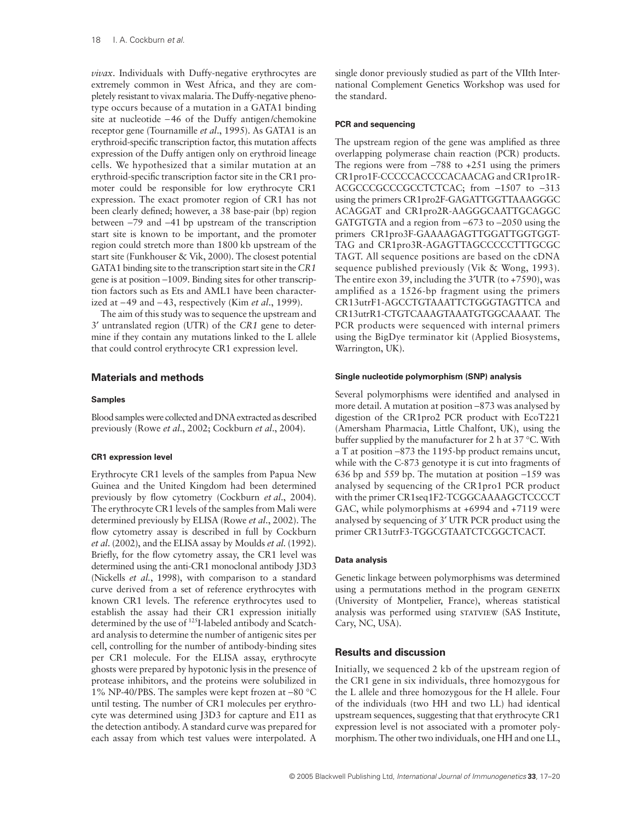*vivax*. Individuals with Duffy-negative erythrocytes are extremely common in West Africa, and they are completely resistant to vivax malaria. The Duffy-negative phenotype occurs because of a mutation in a GATA1 binding site at nucleotide −46 of the Duffy antigen/chemokine receptor gene (Tournamille *et al*., 1995). As GATA1 is an erythroid-specific transcription factor, this mutation affects expression of the Duffy antigen only on erythroid lineage cells. We hypothesized that a similar mutation at an erythroid-specific transcription factor site in the CR1 promoter could be responsible for low erythrocyte CR1 expression. The exact promoter region of CR1 has not been clearly defined; however, a 38 base-pair (bp) region between −79 and −41 bp upstream of the transcription start site is known to be important, and the promoter region could stretch more than 1800 kb upstream of the start site (Funkhouser & Vik, 2000). The closest potential GATA1 binding site to the transcription start site in the *CR1* gene is at position −1009. Binding sites for other transcription factors such as Ets and AML1 have been characterized at −49 and −43, respectively (Kim *et al*., 1999).

The aim of this study was to sequence the upstream and 3′ untranslated region (UTR) of the *CR1* gene to determine if they contain any mutations linked to the L allele that could control erythrocyte CR1 expression level.

## **Materials and methods**

#### **Samples**

Blood samples were collected and DNA extracted as described previously (Rowe *et al*., 2002; Cockburn *et al*., 2004).

### **CR1 expression level**

Erythrocyte CR1 levels of the samples from Papua New Guinea and the United Kingdom had been determined previously by flow cytometry (Cockburn *et al*., 2004). The erythrocyte CR1 levels of the samples from Mali were determined previously by ELISA (Rowe *et al*., 2002). The flow cytometry assay is described in full by Cockburn *et al*. (2002), and the ELISA assay by Moulds *et al*. (1992). Briefly, for the flow cytometry assay, the CR1 level was determined using the anti-CR1 monoclonal antibody J3D3 (Nickells *et al.*, 1998), with comparison to a standard curve derived from a set of reference erythrocytes with known CR1 levels. The reference erythrocytes used to establish the assay had their CR1 expression initially determined by the use of 125I-labeled antibody and Scatchard analysis to determine the number of antigenic sites per cell, controlling for the number of antibody-binding sites per CR1 molecule. For the ELISA assay, erythrocyte ghosts were prepared by hypotonic lysis in the presence of protease inhibitors, and the proteins were solubilized in 1% NP-40/PBS. The samples were kept frozen at −80 °C until testing. The number of CR1 molecules per erythrocyte was determined using J3D3 for capture and E11 as the detection antibody. A standard curve was prepared for each assay from which test values were interpolated. A

single donor previously studied as part of the VIIth International Complement Genetics Workshop was used for the standard.

#### **PCR and sequencing**

The upstream region of the gene was amplified as three overlapping polymerase chain reaction (PCR) products. The regions were from −788 to +251 using the primers CR1pro1F-CCCCCACCCCACAACAG and CR1pro1R-ACGCCCGCCCGCCTCTCAC; from −1507 to −313 using the primers CR1pro2F-GAGATTGGTTAAAGGGC ACAGGAT and CR1pro2R-AAGGGCAATTGCAGGC GATGTGTA and a region from −673 to −2050 using the primers CR1pro3F-GAAAAGAGTTGGATTGGTGGT-TAG and CR1pro3R-AGAGTTAGCCCCCTTTGCGC TAGT. All sequence positions are based on the cDNA sequence published previously (Vik & Wong, 1993). The entire exon 39, including the 3′UTR (to +7590), was amplified as a 1526-bp fragment using the primers CR13utrF1-AGCCTGTAAATTCTGGGTAGTTCA and CR13utrR1-CTGTCAAAGTAAATGTGGCAAAAT. The PCR products were sequenced with internal primers using the BigDye terminator kit (Applied Biosystems, Warrington, UK).

#### **Single nucleotide polymorphism (SNP) analysis**

Several polymorphisms were identified and analysed in more detail. A mutation at position −873 was analysed by digestion of the CR1pro2 PCR product with EcoT221 (Amersham Pharmacia, Little Chalfont, UK), using the buffer supplied by the manufacturer for 2 h at 37 °C. With a T at position −873 the 1195-bp product remains uncut, while with the C-873 genotype it is cut into fragments of 636 bp and 559 bp. The mutation at position −159 was analysed by sequencing of the CR1pro1 PCR product with the primer CR1seq1F2-TCGGCAAAAGCTCCCCT GAC, while polymorphisms at +6994 and +7119 were analysed by sequencing of 3′ UTR PCR product using the primer CR13utrF3-TGGCGTAATCTCGGCTCACT.

#### **Data analysis**

Genetic linkage between polymorphisms was determined using a permutations method in the program GENETIX (University of Montpelier, France), whereas statistical analysis was performed using STATVIEW (SAS Institute, Cary, NC, USA).

## **Results and discussion**

Initially, we sequenced 2 kb of the upstream region of the CR1 gene in six individuals, three homozygous for the L allele and three homozygous for the H allele. Four of the individuals (two HH and two LL) had identical upstream sequences, suggesting that that erythrocyte CR1 expression level is not associated with a promoter polymorphism. The other two individuals, one HH and one LL,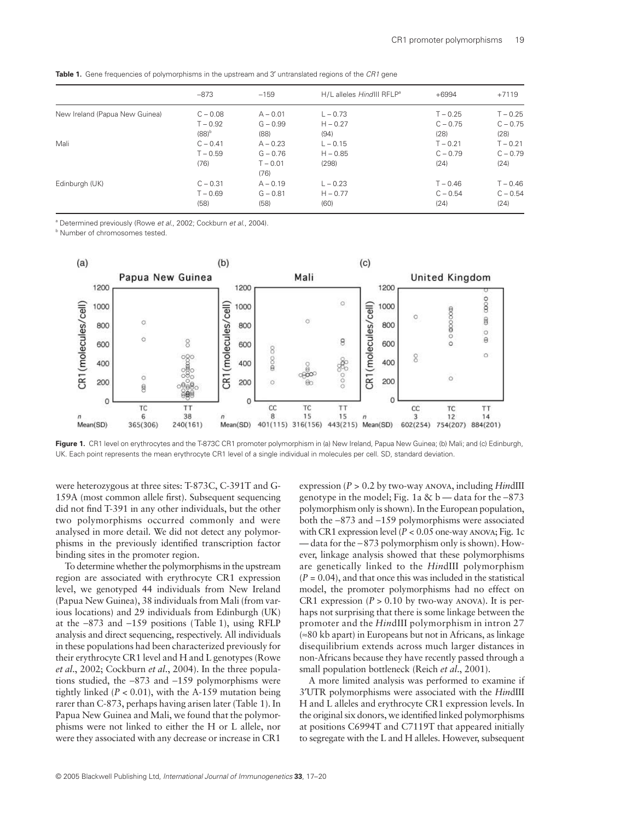|                                | $-873$     | $-159$     | H/L alleles HindIII RFLP <sup>a</sup> | $+6994$    | $+7119$    |
|--------------------------------|------------|------------|---------------------------------------|------------|------------|
| New Ireland (Papua New Guinea) | $C - 0.08$ | $A - 0.01$ | $L - 0.73$                            | $T - 0.25$ | $T - 0.25$ |
|                                | $T - 0.92$ | $G - 0.99$ | $H - 0.27$                            | $C - 0.75$ | $C - 0.75$ |
|                                | $(88)^{b}$ | (88)       | (94)                                  | (28)       | (28)       |
| Mali                           | $C - 0.41$ | $A - 0.23$ | $L - 0.15$                            | $T - 0.21$ | $T - 0.21$ |
|                                | $T - 0.59$ | $G - 0.76$ | $H - 0.85$                            | $C - 0.79$ | $C - 0.79$ |
|                                | (76)       | $T - 0.01$ | (298)                                 | (24)       | (24)       |
|                                |            | (76)       |                                       |            |            |
| Edinburgh (UK)                 | $C - 0.31$ | $A - 0.19$ | $L - 0.23$                            | $T - 0.46$ | $T - 0.46$ |
|                                | $T - 0.69$ | $G - 0.81$ | $H - 0.77$                            | $C - 0.54$ | $C - 0.54$ |
|                                | (58)       | (58)       | (60)                                  | (24)       | (24)       |
|                                |            |            |                                       |            |            |

**Table 1.** Gene frequencies of polymorphisms in the upstream and 3' untranslated regions of the CR1 gene

a Determined previously (Rowe *et al*., 2002; Cockburn *et al*., 2004).

**b** Number of chromosomes tested.



Figure 1. CR1 level on erythrocytes and the T-873C CR1 promoter polymorphism in (a) New Ireland, Papua New Guinea; (b) Mali; and (c) Edinburgh, UK. Each point represents the mean erythrocyte CR1 level of a single individual in molecules per cell. SD, standard deviation.

were heterozygous at three sites: T-873C, C-391T and G-159A (most common allele first). Subsequent sequencing did not find T-391 in any other individuals, but the other two polymorphisms occurred commonly and were analysed in more detail. We did not detect any polymorphisms in the previously identified transcription factor binding sites in the promoter region.

To determine whether the polymorphisms in the upstream region are associated with erythrocyte CR1 expression level, we genotyped 44 individuals from New Ireland (Papua New Guinea), 38 individuals from Mali (from various locations) and 29 individuals from Edinburgh (UK) at the −873 and −159 positions (Table 1), using RFLP analysis and direct sequencing, respectively. All individuals in these populations had been characterized previously for their erythrocyte CR1 level and H and L genotypes (Rowe *et al*., 2002; Cockburn *et al*., 2004). In the three populations studied, the −873 and −159 polymorphisms were tightly linked (*P <* 0.01), with the A-159 mutation being rarer than C-873, perhaps having arisen later (Table 1). In Papua New Guinea and Mali, we found that the polymorphisms were not linked to either the H or L allele, nor were they associated with any decrease or increase in CR1

expression (*P* > 0.2 by two-way anova, including *Hin*dIII genotype in the model; Fig. 1a & b *—* data for the −873 polymorphism only is shown). In the European population, both the −873 and −159 polymorphisms were associated with CR1 expression level (*P <* 0.05 one-way anova; Fig. 1c — data for the −873 polymorphism only is shown). However, linkage analysis showed that these polymorphisms are genetically linked to the *Hin*dIII polymorphism (*P =* 0.04), and that once this was included in the statistical model, the promoter polymorphisms had no effect on CR1 expression ( $P > 0.10$  by two-way ANOVA). It is perhaps not surprising that there is some linkage between the promoter and the *Hin*dIII polymorphism in intron 27 (≈80 kb apart) in Europeans but not in Africans, as linkage disequilibrium extends across much larger distances in non-Africans because they have recently passed through a small population bottleneck (Reich *et al*., 2001).

A more limited analysis was performed to examine if 3′UTR polymorphisms were associated with the *Hin*dIII H and L alleles and erythrocyte CR1 expression levels. In the original six donors, we identified linked polymorphisms at positions C6994T and C7119T that appeared initially to segregate with the L and H alleles. However, subsequent